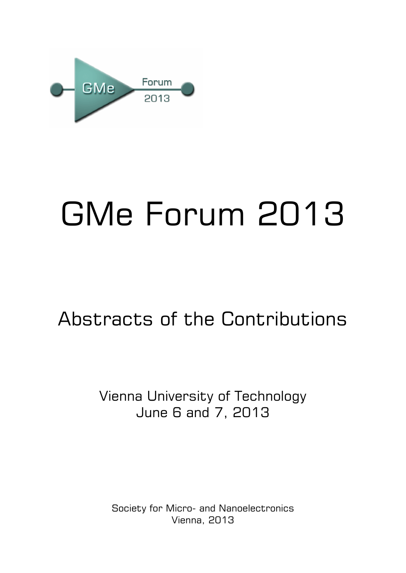

# GMe Forum 2013

## Abstracts of the Contributions

## Vienna University of Technology June 6 and 7, 2013

Society for Micro- and Nanoelectronics Vienna, 2013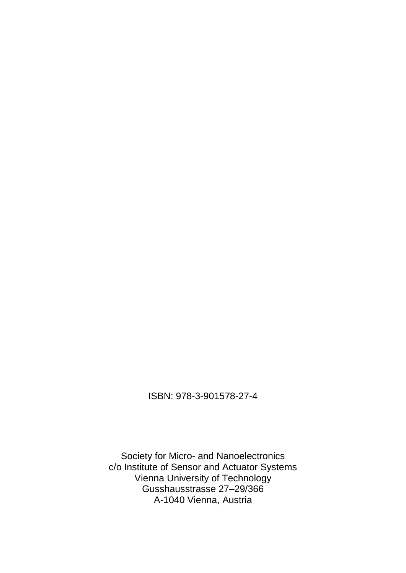#### ISBN: 978-3-901578-27-4

Society for Micro- and Nanoelectronics c/o Institute of Sensor and Actuator Systems Vienna University of Technology Gusshausstrasse 27–29/366 A-1040 Vienna, Austria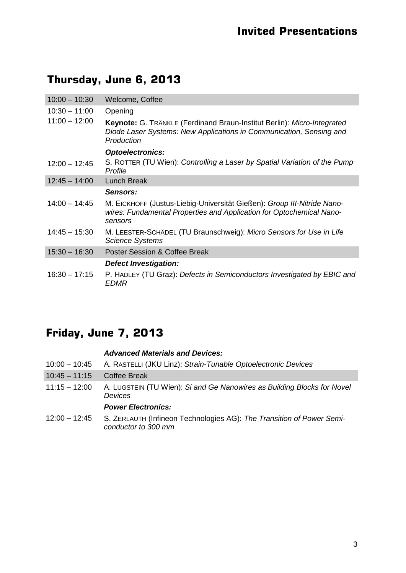## **Thursday, June 6, 2013**

| $10:00 - 10:30$ | Welcome, Coffee                                                                                                                                              |
|-----------------|--------------------------------------------------------------------------------------------------------------------------------------------------------------|
| $10:30 - 11:00$ | Opening                                                                                                                                                      |
| $11:00 - 12:00$ | Keynote: G. TRÄNKLE (Ferdinand Braun-Institut Berlin): Micro-Integrated<br>Diode Laser Systems: New Applications in Communication, Sensing and<br>Production |
|                 | <b>Optoelectronics:</b>                                                                                                                                      |
| $12:00 - 12:45$ | S. ROTTER (TU Wien): Controlling a Laser by Spatial Variation of the Pump<br>Profile                                                                         |
| $12:45 - 14:00$ | <b>Lunch Break</b>                                                                                                                                           |
|                 | Sensors:                                                                                                                                                     |
| $14:00 - 14:45$ | M. EICKHOFF (Justus-Liebig-Universität Gießen): Group III-Nitride Nano-<br>wires: Fundamental Properties and Application for Optochemical Nano-<br>sensors   |
| $14:45 - 15:30$ | M. LEESTER-SCHÄDEL (TU Braunschweig): Micro Sensors for Use in Life<br><b>Science Systems</b>                                                                |
| $15:30 - 16:30$ | <b>Poster Session &amp; Coffee Break</b>                                                                                                                     |
|                 | <b>Defect Investigation:</b>                                                                                                                                 |
| $16:30 - 17:15$ | P. HADLEY (TU Graz): Defects in Semiconductors Investigated by EBIC and<br><i>EDMR</i>                                                                       |

## **Friday, June 7, 2013**

#### *Advanced Materials and Devices:*

| $10:00 - 10:45$ | A. RASTELLI (JKU Linz): Strain-Tunable Optoelectronic Devices                                |
|-----------------|----------------------------------------------------------------------------------------------|
| $10:45 - 11:15$ | <b>Coffee Break</b>                                                                          |
| $11:15 - 12:00$ | A. LUGSTEIN (TU Wien): Si and Ge Nanowires as Building Blocks for Novel<br>Devices           |
|                 | <b>Power Electronics:</b>                                                                    |
| $12:00 - 12:45$ | S. ZERLAUTH (Infineon Technologies AG): The Transition of Power Semi-<br>conductor to 300 mm |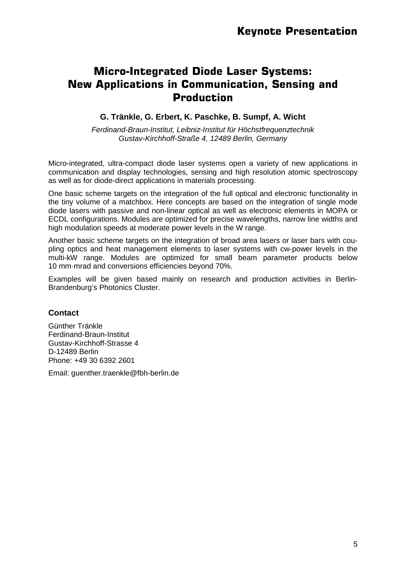## **Micro-Integrated Diode Laser Systems: New Applications in Communication, Sensing and Production**

#### **G. Tränkle, G. Erbert, K. Paschke, B. Sumpf, A. Wicht**

*Ferdinand-Braun-Institut, Leibniz-Institut für Höchstfrequenztechnik Gustav-Kirchhoff-Straße 4, 12489 Berlin, Germany*

Micro-integrated, ultra-compact diode laser systems open a variety of new applications in communication and display technologies, sensing and high resolution atomic spectroscopy as well as for diode-direct applications in materials processing.

One basic scheme targets on the integration of the full optical and electronic functionality in the tiny volume of a matchbox. Here concepts are based on the integration of single mode diode lasers with passive and non-linear optical as well as electronic elements in MOPA or ECDL configurations. Modules are optimized for precise wavelengths, narrow line widths and high modulation speeds at moderate power levels in the W range.

Another basic scheme targets on the integration of broad area lasers or laser bars with coupling optics and heat management elements to laser systems with cw-power levels in the multi-kW range. Modules are optimized for small beam parameter products below 10 mm·mrad and conversions efficiencies beyond 70%.

Examples will be given based mainly on research and production activities in Berlin-Brandenburg's Photonics Cluster.

#### **Contact**

Günther Tränkle Ferdinand-Braun-Institut Gustav-Kirchhoff-Strasse 4 D-12489 Berlin Phone: +49 30 6392 2601

Email: guenther.traenkle@fbh-berlin.de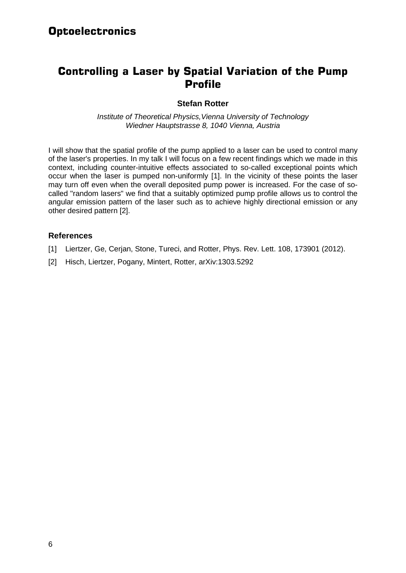## **Controlling a Laser by Spatial Variation of the Pump Profile**

#### **Stefan Rotter**

*Institute of Theoretical Physics,Vienna University of Technology Wiedner Hauptstrasse 8, 1040 Vienna, Austria*

I will show that the spatial profile of the pump applied to a laser can be used to control many of the laser's properties. In my talk I will focus on a few recent findings which we made in this context, including counter-intuitive effects associated to so-called exceptional points which occur when the laser is pumped non-uniformly [1]. In the vicinity of these points the laser may turn off even when the overall deposited pump power is increased. For the case of socalled "random lasers" we find that a suitably optimized pump profile allows us to control the angular emission pattern of the laser such as to achieve highly directional emission or any other desired pattern [2].

- [1] Liertzer, Ge, Cerjan, Stone, Tureci, and Rotter, Phys. Rev. Lett. 108, 173901 (2012).
- [2] Hisch, Liertzer, Pogany, Mintert, Rotter, arXiv:1303.5292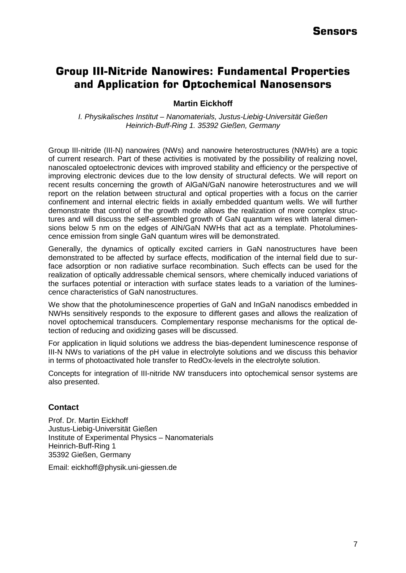## **Group III-Nitride Nanowires: Fundamental Properties and Application for Optochemical Nanosensors**

**Martin Eickhoff**

*I. Physikalisches Institut – Nanomaterials, Justus-Liebig-Universität Gießen Heinrich-Buff-Ring 1. 35392 Gießen, Germany*

Group III-nitride (III-N) nanowires (NWs) and nanowire heterostructures (NWHs) are a topic of current research. Part of these activities is motivated by the possibility of realizing novel, nanoscaled optoelectronic devices with improved stability and efficiency or the perspective of improving electronic devices due to the low density of structural defects. We will report on recent results concerning the growth of AlGaN/GaN nanowire heterostructures and we will report on the relation between structural and optical properties with a focus on the carrier confinement and internal electric fields in axially embedded quantum wells. We will further demonstrate that control of the growth mode allows the realization of more complex structures and will discuss the self-assembled growth of GaN quantum wires with lateral dimensions below 5 nm on the edges of AlN/GaN NWHs that act as a template. Photoluminescence emission from single GaN quantum wires will be demonstrated.

Generally, the dynamics of optically excited carriers in GaN nanostructures have been demonstrated to be affected by surface effects, modification of the internal field due to surface adsorption or non radiative surface recombination. Such effects can be used for the realization of optically addressable chemical sensors, where chemically induced variations of the surfaces potential or interaction with surface states leads to a variation of the luminescence characteristics of GaN nanostructures.

We show that the photoluminescence properties of GaN and InGaN nanodiscs embedded in NWHs sensitively responds to the exposure to different gases and allows the realization of novel optochemical transducers. Complementary response mechanisms for the optical detection of reducing and oxidizing gases will be discussed.

For application in liquid solutions we address the bias-dependent luminescence response of III-N NWs to variations of the pH value in electrolyte solutions and we discuss this behavior in terms of photoactivated hole transfer to RedOx-levels in the electrolyte solution.

Concepts for integration of III-nitride NW transducers into optochemical sensor systems are also presented.

#### **Contact**

Prof. Dr. Martin Eickhoff Justus-Liebig-Universität Gießen Institute of Experimental Physics – Nanomaterials Heinrich-Buff-Ring 1 35392 Gießen, Germany

Email: eickhoff@physik.uni-giessen.de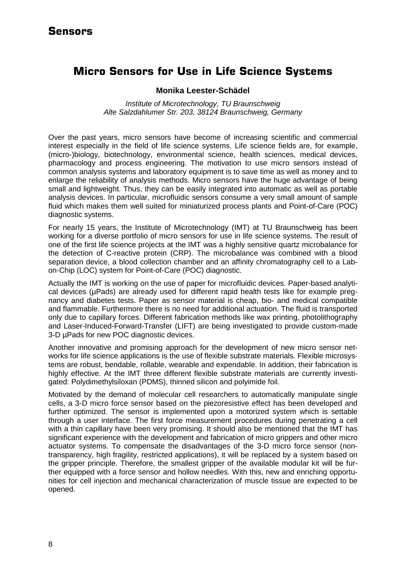## **Micro Sensors for Use in Life Science Systems**

#### **Monika Leester-Schädel**

*Institute of Microtechnology, TU Braunschweig Alte Salzdahlumer Str. 203, 38124 Braunschweig, Germany*

Over the past years, micro sensors have become of increasing scientific and commercial interest especially in the field of life science systems. Life science fields are, for example, (micro-)biology, biotechnology, environmental science, health sciences, medical devices, pharmacology and process engineering. The motivation to use micro sensors instead of common analysis systems and laboratory equipment is to save time as well as money and to enlarge the reliability of analysis methods. Micro sensors have the huge advantage of being small and lightweight. Thus, they can be easily integrated into automatic as well as portable analysis devices. In particular, microfluidic sensors consume a very small amount of sample fluid which makes them well suited for miniaturized process plants and Point-of-Care (POC) diagnostic systems.

For nearly 15 years, the Institute of Microtechnology (IMT) at TU Braunschweig has been working for a diverse portfolio of micro sensors for use in life science systems. The result of one of the first life science projects at the IMT was a highly sensitive quartz microbalance for the detection of C-reactive protein (CRP). The microbalance was combined with a blood separation device, a blood collection chamber and an affinity chromatography cell to a Labon-Chip (LOC) system for Point-of-Care (POC) diagnostic.

Actually the IMT is working on the use of paper for microfluidic devices. Paper-based analytical devices (µPads) are already used for different rapid health tests like for example pregnancy and diabetes tests. Paper as sensor material is cheap, bio- and medical compatible and flammable. Furthermore there is no need for additional actuation. The fluid is transported only due to capillary forces. Different fabrication methods like wax printing, photolithography and Laser-Induced-Forward-Transfer (LIFT) are being investigated to provide custom-made 3-D µPads for new POC diagnostic devices.

Another innovative and promising approach for the development of new micro sensor networks for life science applications is the use of flexible substrate materials. Flexible microsystems are robust, bendable, rollable, wearable and expendable. In addition, their fabrication is highly effective. At the IMT three different flexible substrate materials are currently investigated: Polydimethylsiloxan (PDMS), thinned silicon and polyimide foil.

Motivated by the demand of molecular cell researchers to automatically manipulate single cells, a 3-D micro force sensor based on the piezoresistive effect has been developed and further optimized. The sensor is implemented upon a motorized system which is settable through a user interface. The first force measurement procedures during penetrating a cell with a thin capillary have been very promising. It should also be mentioned that the IMT has significant experience with the development and fabrication of micro grippers and other micro actuator systems. To compensate the disadvantages of the 3-D micro force sensor (nontransparency, high fragility, restricted applications), it will be replaced by a system based on the gripper principle. Therefore, the smallest gripper of the available modular kit will be further equipped with a force sensor and hollow needles. With this, new and enriching opportunities for cell injection and mechanical characterization of muscle tissue are expected to be opened.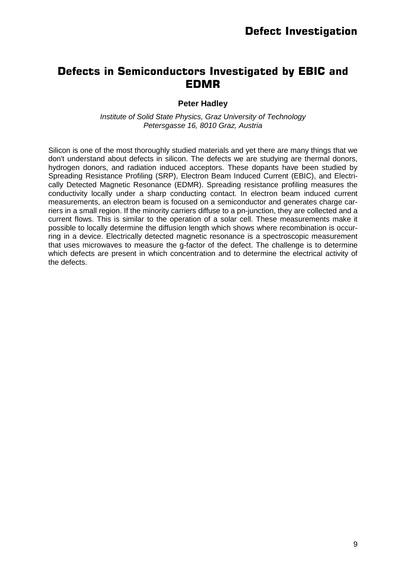## **Defects in Semiconductors Investigated by EBIC and EDMR**

#### **Peter Hadley**

*Institute of Solid State Physics, Graz University of Technology Petersgasse 16, 8010 Graz, Austria*

Silicon is one of the most thoroughly studied materials and yet there are many things that we don't understand about defects in silicon. The defects we are studying are thermal donors, hydrogen donors, and radiation induced acceptors. These dopants have been studied by Spreading Resistance Profiling (SRP), Electron Beam Induced Current (EBIC), and Electrically Detected Magnetic Resonance (EDMR). Spreading resistance profiling measures the conductivity locally under a sharp conducting contact. In electron beam induced current measurements, an electron beam is focused on a semiconductor and generates charge carriers in a small region. If the minority carriers diffuse to a pn-junction, they are collected and a current flows. This is similar to the operation of a solar cell. These measurements make it possible to locally determine the diffusion length which shows where recombination is occurring in a device. Electrically detected magnetic resonance is a spectroscopic measurement that uses microwaves to measure the g-factor of the defect. The challenge is to determine which defects are present in which concentration and to determine the electrical activity of the defects.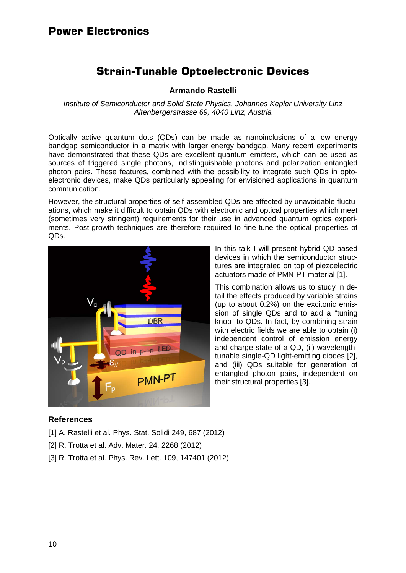#### **Power Electronics**

## **Strain-Tunable Optoelectronic Devices**

#### **Armando Rastelli**

*Institute of Semiconductor and Solid State Physics, Johannes Kepler University Linz Altenbergerstrasse 69, 4040 Linz, Austria*

Optically active quantum dots (QDs) can be made as nanoinclusions of a low energy bandgap semiconductor in a matrix with larger energy bandgap. Many recent experiments have demonstrated that these QDs are excellent quantum emitters, which can be used as sources of triggered single photons, indistinguishable photons and polarization entangled photon pairs. These features, combined with the possibility to integrate such QDs in optoelectronic devices, make QDs particularly appealing for envisioned applications in quantum communication.

However, the structural properties of self-assembled QDs are affected by unavoidable fluctuations, which make it difficult to obtain QDs with electronic and optical properties which meet (sometimes very stringent) requirements for their use in advanced quantum optics experiments. Post-growth techniques are therefore required to fine-tune the optical properties of QDs.



In this talk I will present hybrid QD-based devices in which the semiconductor structures are integrated on top of piezoelectric actuators made of PMN-PT material [1].

This combination allows us to study in detail the effects produced by variable strains (up to about 0.2%) on the excitonic emission of single QDs and to add a "tuning knob" to QDs. In fact, by combining strain with electric fields we are able to obtain (i) independent control of emission energy and charge-state of a QD, (ii) wavelengthtunable single-QD light-emitting diodes [2], and (iii) QDs suitable for generation of entangled photon pairs, independent on their structural properties [3].

- [1] A. Rastelli et al. Phys. Stat. Solidi 249, 687 (2012)
- [2] R. Trotta et al. Adv. Mater. 24, 2268 (2012)
- [3] R. Trotta et al. Phys. Rev. Lett. 109, 147401 (2012)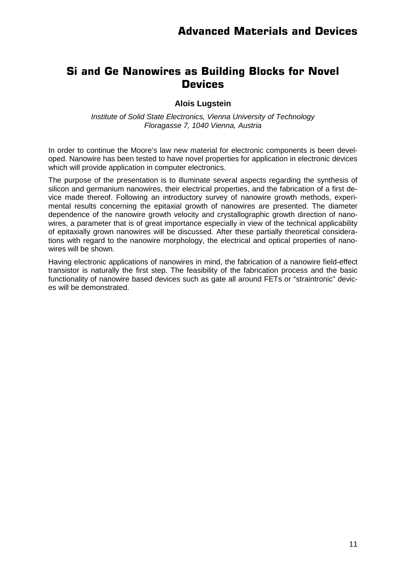## **Si and Ge Nanowires as Building Blocks for Novel Devices**

#### **Alois Lugstein**

*Institute of Solid State Electronics, Vienna University of Technology Floragasse 7, 1040 Vienna, Austria*

In order to continue the Moore's law new material for electronic components is been developed. Nanowire has been tested to have novel properties for application in electronic devices which will provide application in computer electronics.

The purpose of the presentation is to illuminate several aspects regarding the synthesis of silicon and germanium nanowires, their electrical properties, and the fabrication of a first device made thereof. Following an introductory survey of nanowire growth methods, experimental results concerning the epitaxial growth of nanowires are presented. The diameter dependence of the nanowire growth velocity and crystallographic growth direction of nanowires, a parameter that is of great importance especially in view of the technical applicability of epitaxially grown nanowires will be discussed. After these partially theoretical considerations with regard to the nanowire morphology, the electrical and optical properties of nanowires will be shown.

Having electronic applications of nanowires in mind, the fabrication of a nanowire field-effect transistor is naturally the first step. The feasibility of the fabrication process and the basic functionality of nanowire based devices such as gate all around FETs or "straintronic" devices will be demonstrated.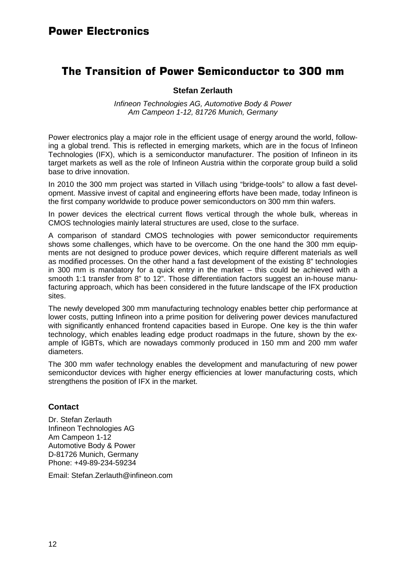## **The Transition of Power Semiconductor to 300 mm**

#### **Stefan Zerlauth**

*Infineon Technologies AG, Automotive Body & Power Am Campeon 1-12, 81726 Munich, Germany*

Power electronics play a major role in the efficient usage of energy around the world, following a global trend. This is reflected in emerging markets, which are in the focus of Infineon Technologies (IFX), which is a semiconductor manufacturer. The position of Infineon in its target markets as well as the role of Infineon Austria within the corporate group build a solid base to drive innovation.

In 2010 the 300 mm project was started in Villach using "bridge-tools" to allow a fast development. Massive invest of capital and engineering efforts have been made, today Infineon is the first company worldwide to produce power semiconductors on 300 mm thin wafers.

In power devices the electrical current flows vertical through the whole bulk, whereas in CMOS technologies mainly lateral structures are used, close to the surface.

A comparison of standard CMOS technologies with power semiconductor requirements shows some challenges, which have to be overcome. On the one hand the 300 mm equipments are not designed to produce power devices, which require different materials as well as modified processes. On the other hand a fast development of the existing 8" technologies in 300 mm is mandatory for a quick entry in the market – this could be achieved with a smooth 1:1 transfer from 8" to 12". Those differentiation factors suggest an in-house manufacturing approach, which has been considered in the future landscape of the IFX production sites.

The newly developed 300 mm manufacturing technology enables better chip performance at lower costs, putting Infineon into a prime position for delivering power devices manufactured with significantly enhanced frontend capacities based in Europe. One key is the thin wafer technology, which enables leading edge product roadmaps in the future, shown by the example of IGBTs, which are nowadays commonly produced in 150 mm and 200 mm wafer diameters.

The 300 mm wafer technology enables the development and manufacturing of new power semiconductor devices with higher energy efficiencies at lower manufacturing costs, which strengthens the position of IFX in the market.

#### **Contact**

Dr. Stefan Zerlauth Infineon Technologies AG Am Campeon 1-12 Automotive Body & Power D-81726 Munich, Germany Phone: +49-89-234-59234

Email: Stefan.Zerlauth@infineon.com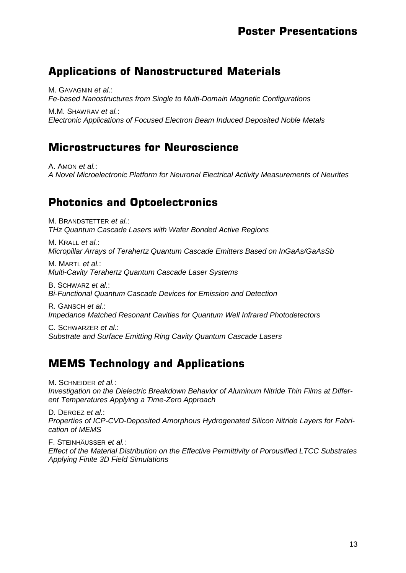## **Applications of Nanostructured Materials**

M. GAVAGNIN *et al*.: *Fe-based Nanostructures from Single to Multi-Domain Magnetic Configurations*

M.M. SHAWRAV *et al.*: *Electronic Applications of Focused Electron Beam Induced Deposited Noble Metals*

## **Microstructures for Neuroscience**

A. AMON *et al.*: *A Novel Microelectronic Platform for Neuronal Electrical Activity Measurements of Neurites*

## **Photonics and Optoelectronics**

M. BRANDSTETTER *et al.*: *THz Quantum Cascade Lasers with Wafer Bonded Active Regions*

M. KRALL *et al.*: *Micropillar Arrays of Terahertz Quantum Cascade Emitters Based on InGaAs/GaAsSb*

M. MARTL *et al.*: *Multi-Cavity Terahertz Quantum Cascade Laser Systems*

B. SCHWARZ *et al.*: *Bi-Functional Quantum Cascade Devices for Emission and Detection*

R. GANSCH *et al.*: *Impedance Matched Resonant Cavities for Quantum Well Infrared Photodetectors*

C. SCHWARZER *et al.*: *Substrate and Surface Emitting Ring Cavity Quantum Cascade Lasers*

## **MEMS Technology and Applications**

M. SCHNEIDER *et al.*: *Investigation on the Dielectric Breakdown Behavior of Aluminum Nitride Thin Films at Different Temperatures Applying a Time-Zero Approach*

D. DERGEZ *et al.*: *Properties of ICP-CVD-Deposited Amorphous Hydrogenated Silicon Nitride Layers for Fabrication of MEMS*

F. STEINHÄUSSER *et al.*: *Effect of the Material Distribution on the Effective Permittivity of Porousified LTCC Substrates Applying Finite 3D Field Simulations*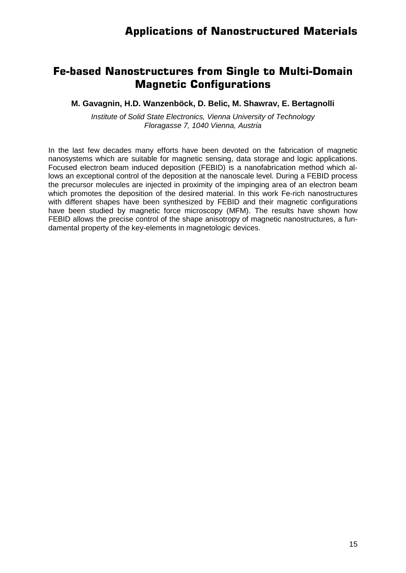## **Fe-based Nanostructures from Single to Multi-Domain Magnetic Configurations**

**M. Gavagnin, H.D. Wanzenböck, D. Belic, M. Shawrav, E. Bertagnolli**

*Institute of Solid State Electronics, Vienna University of Technology Floragasse 7, 1040 Vienna, Austria*

In the last few decades many efforts have been devoted on the fabrication of magnetic nanosystems which are suitable for magnetic sensing, data storage and logic applications. Focused electron beam induced deposition (FEBID) is a nanofabrication method which allows an exceptional control of the deposition at the nanoscale level. During a FEBID process the precursor molecules are injected in proximity of the impinging area of an electron beam which promotes the deposition of the desired material. In this work Fe-rich nanostructures with different shapes have been synthesized by FEBID and their magnetic configurations have been studied by magnetic force microscopy (MFM). The results have shown how FEBID allows the precise control of the shape anisotropy of magnetic nanostructures, a fundamental property of the key-elements in magnetologic devices.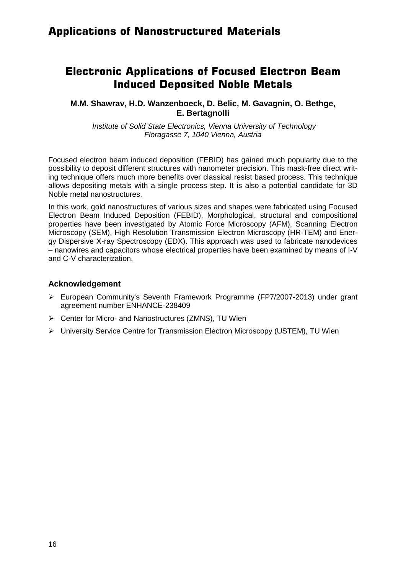## **Electronic Applications of Focused Electron Beam Induced Deposited Noble Metals**

#### **M.M. Shawrav, H.D. Wanzenboeck, D. Belic, M. Gavagnin, O. Bethge, E. Bertagnolli**

*Institute of Solid State Electronics, Vienna University of Technology Floragasse 7, 1040 Vienna, Austria*

Focused electron beam induced deposition (FEBID) has gained much popularity due to the possibility to deposit different structures with nanometer precision. This mask-free direct writing technique offers much more benefits over classical resist based process. This technique allows depositing metals with a single process step. It is also a potential candidate for 3D Noble metal nanostructures.

In this work, gold nanostructures of various sizes and shapes were fabricated using Focused Electron Beam Induced Deposition (FEBID). Morphological, structural and compositional properties have been investigated by Atomic Force Microscopy (AFM), Scanning Electron Microscopy (SEM), High Resolution Transmission Electron Microscopy (HR-TEM) and Energy Dispersive X-ray Spectroscopy (EDX). This approach was used to fabricate nanodevices – nanowires and capacitors whose electrical properties have been examined by means of I-V and C-V characterization.

#### **Acknowledgement**

- European Community's Seventh Framework Programme (FP7/2007-2013) under grant agreement number ENHANCE-238409
- Center for Micro- and Nanostructures (ZMNS), TU Wien
- University Service Centre for Transmission Electron Microscopy (USTEM), TU Wien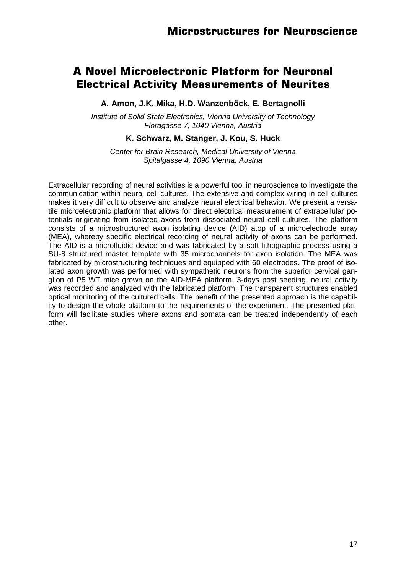## **A Novel Microelectronic Platform for Neuronal Electrical Activity Measurements of Neurites**

**A. Amon, J.K. Mika, H.D. Wanzenböck, E. Bertagnolli**

*Institute of Solid State Electronics, Vienna University of Technology Floragasse 7, 1040 Vienna, Austria*

#### **K. Schwarz, M. Stanger, J. Kou, S. Huck**

*Center for Brain Research, Medical University of Vienna Spitalgasse 4, 1090 Vienna, Austria*

Extracellular recording of neural activities is a powerful tool in neuroscience to investigate the communication within neural cell cultures. The extensive and complex wiring in cell cultures makes it very difficult to observe and analyze neural electrical behavior. We present a versatile microelectronic platform that allows for direct electrical measurement of extracellular potentials originating from isolated axons from dissociated neural cell cultures. The platform consists of a microstructured axon isolating device (AID) atop of a microelectrode array (MEA), whereby specific electrical recording of neural activity of axons can be performed. The AID is a microfluidic device and was fabricated by a soft lithographic process using a SU-8 structured master template with 35 microchannels for axon isolation. The MEA was fabricated by microstructuring techniques and equipped with 60 electrodes. The proof of isolated axon growth was performed with sympathetic neurons from the superior cervical ganglion of P5 WT mice grown on the AID-MEA platform. 3-days post seeding, neural activity was recorded and analyzed with the fabricated platform. The transparent structures enabled optical monitoring of the cultured cells. The benefit of the presented approach is the capability to design the whole platform to the requirements of the experiment. The presented platform will facilitate studies where axons and somata can be treated independently of each other.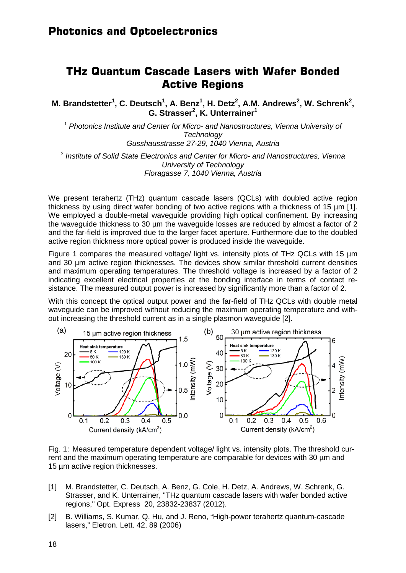### **THz Quantum Cascade Lasers with Wafer Bonded Active Regions**

**M.** Brandstetter<sup>1</sup>, C. Deutsch<sup>1</sup>, A. Benz<sup>1</sup>, H. Detz<sup>2</sup>, A.M. Andrews<sup>2</sup>, W. Schrenk<sup>2</sup>, **G. Strasser<sup>2</sup> , K. Unterrainer<sup>1</sup>**

*<sup>1</sup> Photonics Institute and Center for Micro- and Nanostructures, Vienna University of Technology Gusshausstrasse 27-29, 1040 Vienna, Austria*

*<sup>2</sup> Institute of Solid State Electronics and Center for Micro- and Nanostructures, Vienna University of Technology Floragasse 7, 1040 Vienna, Austria*

We present terahertz (THz) quantum cascade lasers (QCLs) with doubled active region thickness by using direct wafer bonding of two active regions with a thickness of 15 µm [1]. We employed a double-metal waveguide providing high optical confinement. By increasing the waveguide thickness to 30 µm the waveguide losses are reduced by almost a factor of 2 and the far-field is improved due to the larger facet aperture. Furthermore due to the doubled active region thickness more optical power is produced inside the waveguide.

Figure 1 compares the measured voltage/ light vs. intensity plots of THz QCLs with 15 µm and 30 µm active region thicknesses. The devices show similar threshold current densities and maximum operating temperatures. The threshold voltage is increased by a factor of 2 indicating excellent electrical properties at the bonding interface in terms of contact resistance. The measured output power is increased by significantly more than a factor of 2.

With this concept the optical output power and the far-field of THz QCLs with double metal waveguide can be improved without reducing the maximum operating temperature and without increasing the threshold current as in a single plasmon waveguide [2].



Fig. 1: Measured temperature dependent voltage/ light vs. intensity plots. The threshold current and the maximum operating temperature are comparable for devices with 30 µm and 15 µm active region thicknesses.

- [1] M. Brandstetter, C. Deutsch, A. Benz, G. Cole, H. Detz, A. Andrews, W. Schrenk, G. Strasser, and K. Unterrainer, "THz quantum cascade lasers with wafer bonded active regions," Opt. Express 20, 23832-23837 (2012).
- [2] B. Williams, S. Kumar, Q. Hu, and J. Reno, "High-power terahertz quantum-cascade lasers," Eletron. Lett. 42, 89 (2006)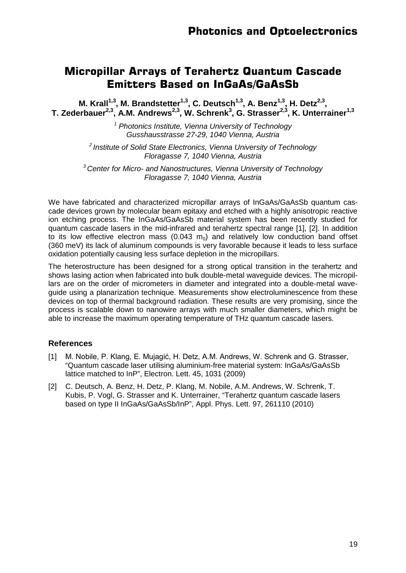## **Micropillar Arrays of Terahertz Quantum Cascade Emitters Based on InGaAs/GaAsSb**

**M. Krall**<sup>1,3</sup>, M. Brandstetter<sup>1,3</sup>, C. Deutsch<sup>1,3</sup>, A. Benz<sup>1,3</sup>, H. Detz<sup>2,3</sup>, T. Zederbauer<sup>2,3</sup>, A.M. Andrews<sup>2,3</sup>, W. Schrenk<sup>3</sup>, G. Strasser<sup>2,3</sup>, K. Unterrainer<sup>1,3</sup>

> *<sup>1</sup> Photonics Institute, Vienna University of Technology Gusshausstrasse 27-29, 1040 Vienna, Austria*

*2 Institute of Solid State Electronics, Vienna University of Technology Floragasse 7, 1040 Vienna, Austria*

*<sup>3</sup> Center for Micro- and Nanostructures, Vienna University of Technology Floragasse 7, 1040 Vienna, Austria*

We have fabricated and characterized micropillar arrays of InGaAs/GaAsSb quantum cascade devices grown by molecular beam epitaxy and etched with a highly anisotropic reactive ion etching process. The InGaAs/GaAsSb material system has been recently studied for quantum cascade lasers in the mid-infrared and terahertz spectral range [1], [2]. In addition to its low effective electron mass  $(0.043 \, \text{m}_0)$  and relatively low conduction band offset (360 meV) its lack of aluminum compounds is very favorable because it leads to less surface oxidation potentially causing less surface depletion in the micropillars.

The heterostructure has been designed for a strong optical transition in the terahertz and shows lasing action when fabricated into bulk double-metal waveguide devices. The micropillars are on the order of micrometers in diameter and integrated into a double-metal waveguide using a planarization technique. Measurements show electroluminescence from these devices on top of thermal background radiation. These results are very promising, since the process is scalable down to nanowire arrays with much smaller diameters, which might be able to increase the maximum operating temperature of THz quantum cascade lasers.

- [1] M. Nobile, P. Klang, E. Mujagić, H. Detz, A.M. Andrews, W. Schrenk and G. Strasser, "Quantum cascade laser utilising aluminium-free material system: InGaAs/GaAsSb lattice matched to InP", Electron. Lett. 45, 1031 (2009)
- [2] C. Deutsch, A. Benz, H. Detz, P. Klang, M. Nobile, A.M. Andrews, W. Schrenk, T. Kubis, P. Vogl, G. Strasser and K. Unterrainer, "Terahertz quantum cascade lasers based on type II InGaAs/GaAsSb/InP", Appl. Phys. Lett. 97, 261110 (2010)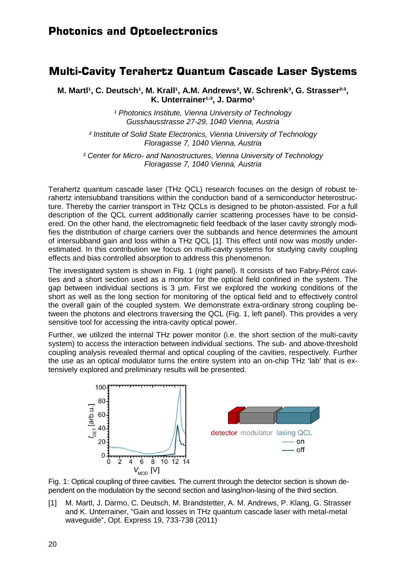#### **Multi-Cavity Terahertz Quantum Cascade Laser Systems**

M. Martl<sup>1</sup>, C. Deutsch<sup>1</sup>, M. Krall<sup>1</sup>, A.M. Andrews<sup>2</sup>, W. Schrenk<sup>3</sup>, G. Strasser<sup>23</sup>, K. Unterrainer<sup>1,3</sup>, J. Darmo<sup>1</sup>

> *¹ Photonics Institute, Vienna University of Technology Gusshausstrasse 27-29, 1040 Vienna, Austria*

*² Institute of Solid State Electronics, Vienna University of Technology Floragasse 7, 1040 Vienna, Austria*

*³ Center for Micro- and Nanostructures, Vienna University of Technology Floragasse 7, 1040 Vienna, Austria*

Terahertz quantum cascade laser (THz QCL) research focuses on the design of robust terahertz intersubband transitions within the conduction band of a semiconductor heterostructure. Thereby the carrier transport in THz QCLs is designed to be photon-assisted. For a full description of the QCL current additionally carrier scattering processes have to be considered. On the other hand, the electromagnetic field feedback of the laser cavity strongly modifies the distribution of charge carriers over the subbands and hence determines the amount of intersubband gain and loss within a THz QCL [1]. This effect until now was mostly underestimated. In this contribution we focus on multi-cavity systems for studying cavity coupling effects and bias controlled absorption to address this phenomenon.

The investigated system is shown in Fig. 1 (right panel). It consists of two Fabry-Pérot cavities and a short section used as a monitor for the optical field confined in the system. The gap between individual sections is 3 µm. First we explored the working conditions of the short as well as the long section for monitoring of the optical field and to effectively control the overall gain of the coupled system. We demonstrate extra-ordinary strong coupling between the photons and electrons traversing the QCL (Fig. 1, left panel). This provides a very sensitive tool for accessing the intra-cavity optical power.

Further, we utilized the internal THz power monitor (i.e. the short section of the multi-cavity system) to access the interaction between individual sections. The sub- and above-threshold coupling analysis revealed thermal and optical coupling of the cavities, respectively. Further the use as an optical modulator turns the entire system into an on-chip THz 'lab' that is extensively explored and preliminary results will be presented.

![](_page_19_Figure_9.jpeg)

Fig. 1: Optical coupling of three cavities. The current through the detector section is shown dependent on the modulation by the second section and lasing/non-lasing of the third section.

[1] M. Martl, J. Darmo, C. Deutsch, M. Brandstetter, A. M. Andrews, P. Klang, G. Strasser and K. Unterrainer, "Gain and losses in THz quantum cascade laser with metal-metal waveguide", Opt. Express 19, 733-738 (2011)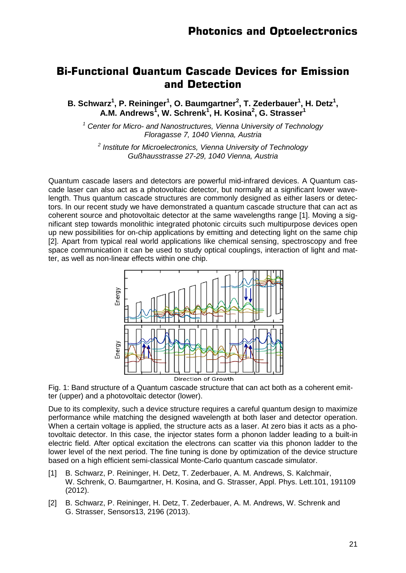#### **Bi-Functional Quantum Cascade Devices for Emission and Detection**

B. Schwarz<sup>1</sup>, P. Reininger<sup>1</sup>, O. Baumgartner<sup>2</sup>, T. Zederbauer<sup>1</sup>, H. Detz<sup>1</sup>, **A.M. Andrews<sup>1</sup> , W. Schrenk<sup>1</sup> , H. Kosina<sup>2</sup> , G. Strasser<sup>1</sup>**

*<sup>1</sup> Center for Micro- and Nanostructures, Vienna University of Technology Floragasse 7, 1040 Vienna, Austria*

*<sup>2</sup> Institute for Microelectronics, Vienna University of Technology Gußhausstrasse 27-29, 1040 Vienna, Austria*

Quantum cascade lasers and detectors are powerful mid-infrared devices. A Quantum cascade laser can also act as a photovoltaic detector, but normally at a significant lower wavelength. Thus quantum cascade structures are commonly designed as either lasers or detectors. In our recent study we have demonstrated a quantum cascade structure that can act as coherent source and photovoltaic detector at the same wavelengths range [1]. Moving a significant step towards monolithic integrated photonic circuits such multipurpose devices open up new possibilities for on-chip applications by emitting and detecting light on the same chip [2]. Apart from typical real world applications like chemical sensing, spectroscopy and free space communication it can be used to study optical couplings, interaction of light and matter, as well as non-linear effects within one chip.

![](_page_20_Figure_6.jpeg)

Fig. 1: Band structure of a Quantum cascade structure that can act both as a coherent emitter (upper) and a photovoltaic detector (lower).

Due to its complexity, such a device structure requires a careful quantum design to maximize performance while matching the designed wavelength at both laser and detector operation. When a certain voltage is applied, the structure acts as a laser. At zero bias it acts as a photovoltaic detector. In this case, the injector states form a phonon ladder leading to a built-in electric field. After optical excitation the electrons can scatter via this phonon ladder to the lower level of the next period. The fine tuning is done by optimization of the device structure based on a high efficient semi-classical Monte-Carlo quantum cascade simulator.

- [1] B. Schwarz, P. Reininger, H. Detz, T. Zederbauer, A. M. Andrews, S. Kalchmair, W. Schrenk, O. Baumgartner, H. Kosina, and G. Strasser, Appl. Phys. Lett.101, 191109 (2012).
- [2] B. Schwarz, P. Reininger, H. Detz, T. Zederbauer, A. M. Andrews, W. Schrenk and G. Strasser, Sensors13, 2196 (2013).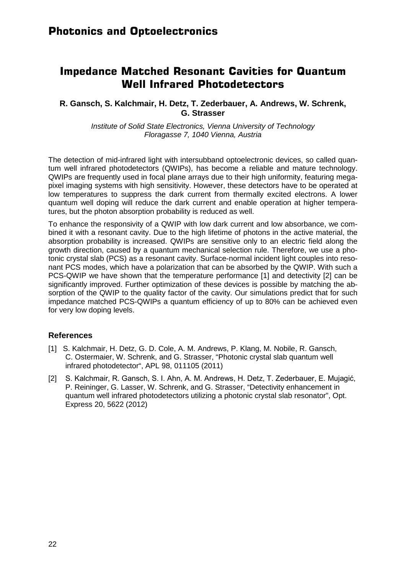## **Impedance Matched Resonant Cavities for Quantum Well Infrared Photodetectors**

#### **R. Gansch, S. Kalchmair, H. Detz, T. Zederbauer, A. Andrews, W. Schrenk, G. Strasser**

*Institute of Solid State Electronics, Vienna University of Technology Floragasse 7, 1040 Vienna, Austria*

The detection of mid-infrared light with intersubband optoelectronic devices, so called quantum well infrared photodetectors (QWIPs), has become a reliable and mature technology. QWIPs are frequently used in focal plane arrays due to their high uniformity, featuring megapixel imaging systems with high sensitivity. However, these detectors have to be operated at low temperatures to suppress the dark current from thermally excited electrons. A lower quantum well doping will reduce the dark current and enable operation at higher temperatures, but the photon absorption probability is reduced as well.

To enhance the responsivity of a QWIP with low dark current and low absorbance, we combined it with a resonant cavity. Due to the high lifetime of photons in the active material, the absorption probability is increased. QWIPs are sensitive only to an electric field along the growth direction, caused by a quantum mechanical selection rule. Therefore, we use a photonic crystal slab (PCS) as a resonant cavity. Surface-normal incident light couples into resonant PCS modes, which have a polarization that can be absorbed by the QWIP. With such a PCS-QWIP we have shown that the temperature performance [1] and detectivity [2] can be significantly improved. Further optimization of these devices is possible by matching the absorption of the QWIP to the quality factor of the cavity. Our simulations predict that for such impedance matched PCS-QWIPs a quantum efficiency of up to 80% can be achieved even for very low doping levels.

- [1] S. Kalchmair, H. Detz, G. D. Cole, A. M. Andrews, P. Klang, M. Nobile, R. Gansch, C. Ostermaier, W. Schrenk, and G. Strasser, "Photonic crystal slab quantum well infrared photodetector", APL 98, 011105 (2011)
- [2] S. Kalchmair, R. Gansch, S. I. Ahn, A. M. Andrews, H. Detz, T. Zederbauer, E. Mujagić, P. Reininger, G. Lasser, W. Schrenk, and G. Strasser, "Detectivity enhancement in quantum well infrared photodetectors utilizing a photonic crystal slab resonator", Opt. Express 20, 5622 (2012)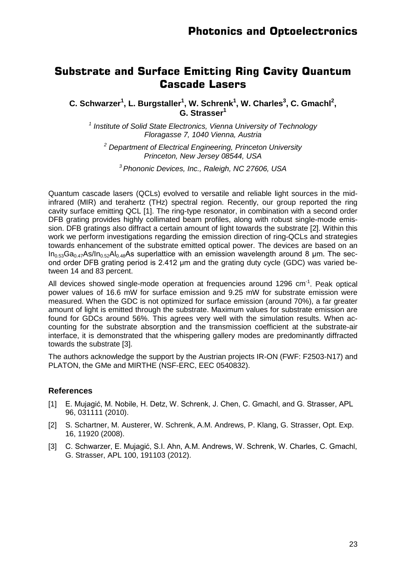#### **Substrate and Surface Emitting Ring Cavity Quantum Cascade Lasers**

**C. Schwarzer<sup>1</sup>, L. Burgstaller<sup>1</sup>, W. Schrenk<sup>1</sup>, W. Charles<sup>3</sup>, C. Gmachl<sup>2</sup>, G. Strasser<sup>1</sup>**

*<sup>1</sup> Institute of Solid State Electronics, Vienna University of Technology Floragasse 7, 1040 Vienna, Austria*

*<sup>2</sup> Department of Electrical Engineering, Princeton University Princeton, New Jersey 08544, USA* 

*<sup>3</sup> Phononic Devices, Inc., Raleigh, NC 27606, USA*

Quantum cascade lasers (QCLs) evolved to versatile and reliable light sources in the midinfrared (MIR) and terahertz (THz) spectral region. Recently, our group reported the ring cavity surface emitting QCL [1]. The ring-type resonator, in combination with a second order DFB grating provides highly collimated beam profiles, along with robust single-mode emission. DFB gratings also diffract a certain amount of light towards the substrate [2]. Within this work we perform investigations regarding the emission direction of ring-QCLs and strategies towards enhancement of the substrate emitted optical power. The devices are based on an  $In<sub>0.53</sub>Ga<sub>0.47</sub>As/In<sub>0.52</sub>Al<sub>0.48</sub>As superlattice with an emission wavelength around 8 µm. The sec$ ond order DFB grating period is 2.412 μm and the grating duty cycle (GDC) was varied between 14 and 83 percent.

All devices showed single-mode operation at frequencies around 1296 cm<sup>-1</sup>. Peak optical power values of 16.6 mW for surface emission and 9.25 mW for substrate emission were measured. When the GDC is not optimized for surface emission (around 70%), a far greater amount of light is emitted through the substrate. Maximum values for substrate emission are found for GDCs around 56%. This agrees very well with the simulation results. When accounting for the substrate absorption and the transmission coefficient at the substrate-air interface, it is demonstrated that the whispering gallery modes are predominantly diffracted towards the substrate [3].

The authors acknowledge the support by the Austrian projects IR-ON (FWF: F2503-N17) and PLATON, the GMe and MIRTHE (NSF-ERC, EEC 0540832).

- [1] E. Mujagić, M. Nobile, H. Detz, W. Schrenk, J. Chen, C. Gmachl, and G. Strasser, APL 96, 031111 (2010).
- [2] S. Schartner, M. Austerer, W. Schrenk, A.M. Andrews, P. Klang, G. Strasser, Opt. Exp. 16, 11920 (2008).
- [3] C. Schwarzer, E. Mujagić, S.I. Ahn, A.M. Andrews, W. Schrenk, W. Charles, C. Gmachl, G. Strasser, APL 100, 191103 (2012).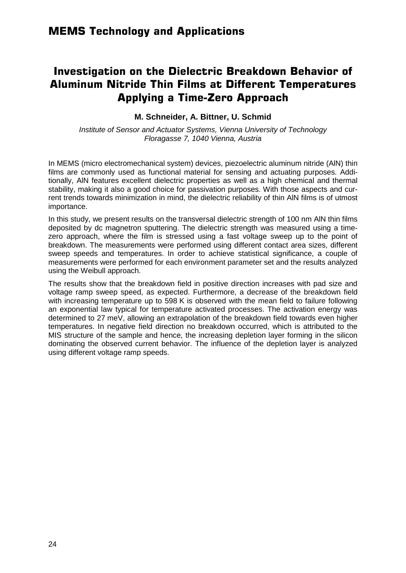## **Investigation on the Dielectric Breakdown Behavior of Aluminum Nitride Thin Films at Different Temperatures Applying a Time-Zero Approach**

#### **M. Schneider, A. Bittner, U. Schmid**

*Institute of Sensor and Actuator Systems, Vienna University of Technology Floragasse 7, 1040 Vienna, Austria*

In MEMS (micro electromechanical system) devices, piezoelectric aluminum nitride (AlN) thin films are commonly used as functional material for sensing and actuating purposes. Additionally, AlN features excellent dielectric properties as well as a high chemical and thermal stability, making it also a good choice for passivation purposes. With those aspects and current trends towards minimization in mind, the dielectric reliability of thin AlN films is of utmost importance.

In this study, we present results on the transversal dielectric strength of 100 nm AlN thin films deposited by dc magnetron sputtering. The dielectric strength was measured using a timezero approach, where the film is stressed using a fast voltage sweep up to the point of breakdown. The measurements were performed using different contact area sizes, different sweep speeds and temperatures. In order to achieve statistical significance, a couple of measurements were performed for each environment parameter set and the results analyzed using the Weibull approach.

The results show that the breakdown field in positive direction increases with pad size and voltage ramp sweep speed, as expected. Furthermore, a decrease of the breakdown field with increasing temperature up to 598 K is observed with the mean field to failure following an exponential law typical for temperature activated processes. The activation energy was determined to 27 meV, allowing an extrapolation of the breakdown field towards even higher temperatures. In negative field direction no breakdown occurred, which is attributed to the MIS structure of the sample and hence, the increasing depletion layer forming in the silicon dominating the observed current behavior. The influence of the depletion layer is analyzed using different voltage ramp speeds.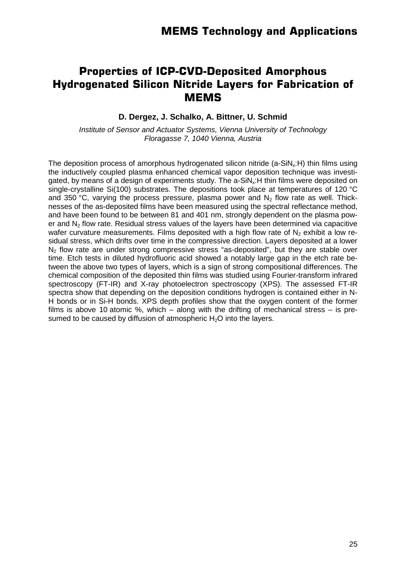## **Properties of ICP-CVD-Deposited Amorphous Hydrogenated Silicon Nitride Layers for Fabrication of MEMS**

#### **D. Dergez, J. Schalko, A. Bittner, U. Schmid**

*Institute of Sensor and Actuator Systems, Vienna University of Technology Floragasse 7, 1040 Vienna, Austria*

The deposition process of amorphous hydrogenated silicon nitride (a-SiN<sub>x</sub>:H) thin films using the inductively coupled plasma enhanced chemical vapor deposition technique was investigated, by means of a design of experiments study. The  $a-SiN<sub>x</sub>:H$  thin films were deposited on single-crystalline Si(100) substrates. The depositions took place at temperatures of 120 °C and 350 °C, varying the process pressure, plasma power and  $N<sub>2</sub>$  flow rate as well. Thicknesses of the as-deposited films have been measured using the spectral reflectance method, and have been found to be between 81 and 401 nm, strongly dependent on the plasma power and  $N<sub>2</sub>$  flow rate. Residual stress values of the layers have been determined via capacitive wafer curvature measurements. Films deposited with a high flow rate of  $N<sub>2</sub>$  exhibit a low residual stress, which drifts over time in the compressive direction. Layers deposited at a lower N2 flow rate are under strong compressive stress "as-deposited", but they are stable over time. Etch tests in diluted hydrofluoric acid showed a notably large gap in the etch rate between the above two types of layers, which is a sign of strong compositional differences. The chemical composition of the deposited thin films was studied using Fourier-transform infrared spectroscopy (FT-IR) and X-ray photoelectron spectroscopy (XPS). The assessed FT-IR spectra show that depending on the deposition conditions hydrogen is contained either in N-H bonds or in Si-H bonds. XPS depth profiles show that the oxygen content of the former films is above 10 atomic %, which  $-$  along with the drifting of mechanical stress  $-$  is presumed to be caused by diffusion of atmospheric  $H_2O$  into the layers.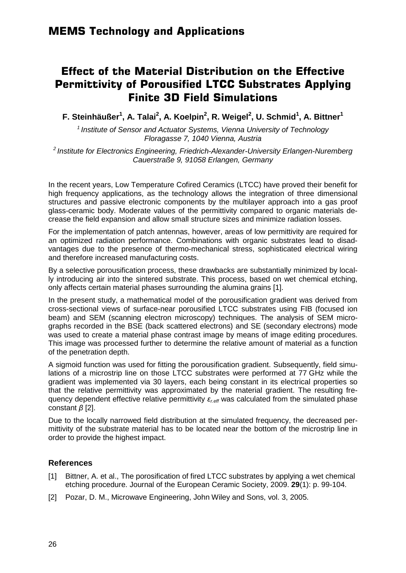## **Effect of the Material Distribution on the Effective Permittivity of Porousified LTCC Substrates Applying Finite 3D Field Simulations**

**F. Steinhäußer<sup>1</sup> , A. Talai<sup>2</sup> , A. Koelpin2 , R. Weigel<sup>2</sup> , U. Schmid1 , A. Bittner<sup>1</sup>**

*<sup>1</sup> Institute of Sensor and Actuator Systems, Vienna University of Technology Floragasse 7, 1040 Vienna, Austria*

*<sup>2</sup> Institute for Electronics Engineering, Friedrich-Alexander-University Erlangen-Nuremberg Cauerstraße 9, 91058 Erlangen, Germany*

In the recent years, Low Temperature Cofired Ceramics (LTCC) have proved their benefit for high frequency applications, as the technology allows the integration of three dimensional structures and passive electronic components by the multilayer approach into a gas proof glass-ceramic body. Moderate values of the permittivity compared to organic materials decrease the field expansion and allow small structure sizes and minimize radiation losses.

For the implementation of patch antennas, however, areas of low permittivity are required for an optimized radiation performance. Combinations with organic substrates lead to disadvantages due to the presence of thermo-mechanical stress, sophisticated electrical wiring and therefore increased manufacturing costs.

By a selective porousification process, these drawbacks are substantially minimized by locally introducing air into the sintered substrate. This process, based on wet chemical etching, only affects certain material phases surrounding the alumina grains [1].

In the present study, a mathematical model of the porousification gradient was derived from cross-sectional views of surface-near porousified LTCC substrates using FIB (focused ion beam) and SEM (scanning electron microscopy) techniques. The analysis of SEM micrographs recorded in the BSE (back scattered electrons) and SE (secondary electrons) mode was used to create a material phase contrast image by means of image editing procedures. This image was processed further to determine the relative amount of material as a function of the penetration depth.

A sigmoid function was used for fitting the porousification gradient. Subsequently, field simulations of a microstrip line on those LTCC substrates were performed at 77 GHz while the gradient was implemented via 30 layers, each being constant in its electrical properties so that the relative permittivity was approximated by the material gradient. The resulting frequency dependent effective relative permittivity *εr.eff* was calculated from the simulated phase constant *β* [2].

Due to the locally narrowed field distribution at the simulated frequency, the decreased permittivity of the substrate material has to be located near the bottom of the microstrip line in order to provide the highest impact.

- [1] Bittner, A. et al., The porosification of fired LTCC substrates by applying a wet chemical etching procedure. Journal of the European Ceramic Society, 2009. **29**(1): p. 99-104.
- [2] Pozar, D. M., Microwave Engineering, John Wiley and Sons, vol. 3, 2005.